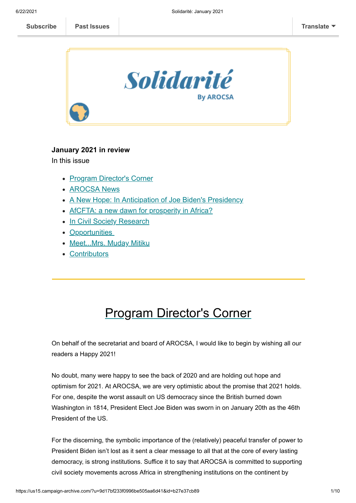

#### **January 2021 in review**

In this issue

- [Program Director's Corner](#page-0-0)
- [AROCSA News](#page-1-0)
- [A New Hope: In Anticipation of Joe Biden's Presidency](#page-4-0)
- [AfCFTA: a new dawn for prosperity in Africa?](#page-4-0)
- [In Civil Society Research](#page-5-0)
- [Opportunities](#page-6-0)
- [Meet...Mrs. Muday Mitiku](#page-6-1)
- [Contributors](#page-8-0)

# <span id="page-0-0"></span>Program Director's Corner

On behalf of the secretariat and board of AROCSA, I would like to begin by wishing all our readers a Happy 2021!

No doubt, many were happy to see the back of 2020 and are holding out hope and optimism for 2021. At AROCSA, we are very optimistic about the promise that 2021 holds. For one, despite the worst assault on US democracy since the British burned down Washington in 1814, President Elect Joe Biden was sworn in on January 20th as the 46th President of the US.

For the discerning, the symbolic importance of the (relatively) peaceful transfer of power to President Biden isn't lost as it sent a clear message to all that at the core of every lasting democracy, is strong institutions. Suffice it to say that AROCSA is committed to supporting civil society movements across Africa in strengthening institutions on the continent by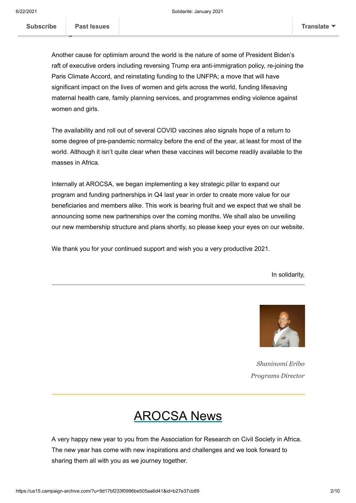this regard.

Another cause for optimism around the world is the nature of some of President Biden's raft of executive orders including reversing Trump era anti-immigration policy, re-joining the Paris Climate Accord, and reinstating funding to the UNFPA; a move that will have significant impact on the lives of women and girls across the world, funding lifesaving maternal health care, family planning services, and programmes ending violence against women and girls.

The availability and roll out of several COVID vaccines also signals hope of a return to some degree of pre-pandemic normalcy before the end of the year, at least for most of the world. Although it isn't quite clear when these vaccines will become readily available to the masses in Africa.

Internally at AROCSA, we began implementing a key strategic pillar to expand our program and funding partnerships in Q4 last year in order to create more value for our beneficiaries and members alike. This work is bearing fruit and we expect that we shall be announcing some new partnerships over the coming months. We shall also be unveiling our new membership structure and plans shortly, so please keep your eyes on our website.

We thank you for your continued support and wish you a very productive 2021.

In solidarity,



*Shaninomi Eribo Programs Director*

### <span id="page-1-0"></span>AROCSA News

A very happy new year to you from the Association for Research on Civil Society in Africa. The new year has come with new inspirations and challenges and we look forward to sharing them all with you as we journey together.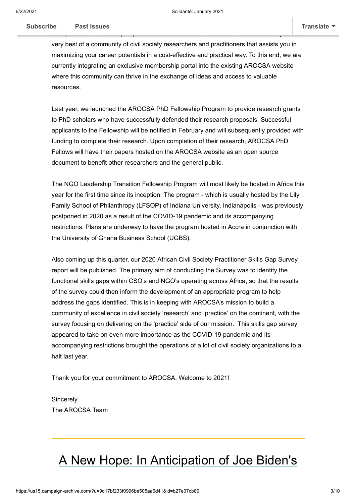very best of a community of civil society researchers and practitioners that assists you in maximizing your career potentials in a cost-effective and practical way. To this end, we are currently integrating an exclusive membership portal into the existing AROCSA website where this community can thrive in the exchange of ideas and access to valuable resources.

best possible membership experience for subscribers. The task at hand is to offer you the

Last year, we launched the AROCSA PhD Fellowship Program to provide research grants to PhD scholars who have successfully defended their research proposals. Successful applicants to the Fellowship will be notified in February and will subsequently provided with funding to complete their research. Upon completion of their research, AROCSA PhD Fellows will have their papers hosted on the AROCSA website as an open source document to benefit other researchers and the general public.

The NGO Leadership Transition Fellowship Program will most likely be hosted in Africa this year for the first time since its inception. The program - which is usually hosted by the Lily Family School of Philanthropy (LFSOP) of Indiana University, Indianapolis - was previously postponed in 2020 as a result of the COVID-19 pandemic and its accompanying restrictions. Plans are underway to have the program hosted in Accra in conjunction with the University of Ghana Business School (UGBS).

Also coming up this quarter, our 2020 African Civil Society Practitioner Skills Gap Survey report will be published. The primary aim of conducting the Survey was to identify the functional skills gaps within CSO's and NGO's operating across Africa, so that the results of the survey could then inform the development of an appropriate program to help address the gaps identified. This is in keeping with AROCSA's mission to build a community of excellence in civil society 'research' and 'practice' on the continent, with the survey focusing on delivering on the 'practice' side of our mission. This skills gap survey appeared to take on even more importance as the COVID-19 pandemic and its accompanying restrictions brought the operations of a lot of civil society organizations to a halt last year.

Thank you for your commitment to AROCSA. Welcome to 2021!

Sincerely, The AROCSA Team

### A New Hope: In Anticipation of Joe Biden's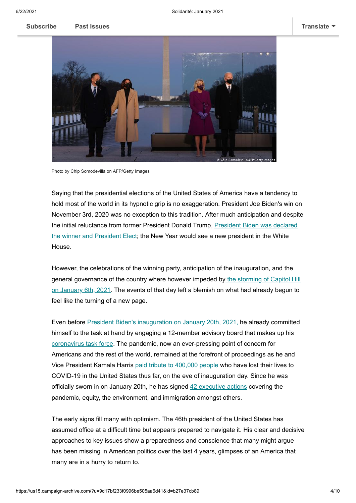

Photo by Chip Somodevilla on AFP/Getty Images

Saying that the presidential elections of the United States of America have a tendency to hold most of the world in its hypnotic grip is no exaggeration. President Joe Biden's win on November 3rd, 2020 was no exception to this tradition. After much anticipation and despite the initial reluctance from former President Donald Trump, President Biden was declared [the winner and President Elect; the New Year would see a new president in the White](https://www.nytimes.com/2020/11/07/us/politics/biden-election.html) House.

However, the celebrations of the winning party, anticipation of the inauguration, and the [general governance of the country where however impeded by the storming of Capitol Hill](https://abcnews.go.com/US/visual-timeline-attack-capitol-hill-unfolded/story?id=75112066) on January 6th, 2021. The events of that day left a blemish on what had already begun to feel like the turning of a new page.

Even before [President Biden's inauguration](https://www.bbc.com/news/av/world-us-canada-55740014) on January 20th, 2021, he already committed himself to the task at hand by engaging a 12-member advisory board that makes up his [coronavirus task force](https://www.theguardian.com/us-news/2020/nov/09/joe-bidens-coronavirus-task-force-to-meet-as-first-public-schedule-released). The pandemic, now an ever-pressing point of concern for Americans and the rest of the world, remained at the forefront of proceedings as he and Vice President Kamala Harris [paid tribute to 400,000 people](https://www.reuters.com/article/us-health-coronavirus-usa/biden-leads-observance-of-americas-400000-covid-19-dead-on-eve-of-inauguration-idUKKBN29O24X?edition-redirect=uk) who have lost their lives to COVID-19 in the United States thus far, on the eve of inauguration day. Since he was officially sworn in on January 20th, he has signed [42 executive actions](https://abc13.com/president-joe-biden-42-executive-actions-kamala-harris-bidens-first-100-days/10195643/) covering the pandemic, equity, the environment, and immigration amongst others.

The early signs fill many with optimism. The 46th president of the United States has assumed office at a difficult time but appears prepared to navigate it. His clear and decisive approaches to key issues show a preparedness and conscience that many might argue has been missing in American politics over the last 4 years, glimpses of an America that many are in a hurry to return to.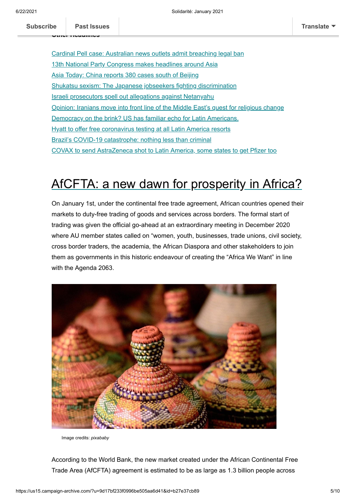[Cardinal Pell case: Australian news outlets admit breaching legal ban](https://www.bbc.com/news/world-australia-55883738) [13th National Party Congress makes headlines around Asia](https://en.vietnamplus.vn/13th-national-party-congress-makes-headlines-around-asia/195731.vnp) [Asia Today: China reports 380 cases south of Beijing](https://abcnews.go.com/Health/wireStory/asia-today-china-reports-360-cases-south-beijing-75159139) [Shukatsu sexism: The Japanese jobseekers fighting discrimination](https://www.bbc.com/news/world-asia-55344408) [Israeli prosecutors spell out allegations against Netanyahu](https://www.arabnews.com/node/1786731/middle-east) [Opinion: Iranians move into front line of the Middle East's quest for religious change](https://www.wionews.com/opinions-blogs/opinion-iranians-move-into-front-line-of-the-middle-easts-quest-for-religious-change-359492) [Democracy on the brink? US has familiar echo for Latin Americans.](https://www.csmonitor.com/World/Americas/2021/0119/Democracy-on-the-brink-US-has-familiar-echo-for-Latin-Americans) [Hyatt to offer free coronavirus testing at all Latin America resorts](https://www.foxnews.com/travel/hyatt-offer-guests-latin-america-locations-free-covid-19-test) [Brazil's COVID-19 catastrophe: nothing less than criminal](https://www.aljazeera.com/opinions/2021/2/1/brazils-covid-19-catastrophe-nothing-less-than-criminal) [COVAX to send AstraZeneca shot to Latin America, some states to get Pfizer too](https://www.nasdaq.com/articles/covax-to-send-astrazeneca-shot-to-latin-america-some-states-to-get-pfizer-too-2021-02-01)

## <span id="page-4-0"></span>AfCFTA: a new dawn for prosperity in Africa?

On January 1st, under the continental free trade agreement, African countries opened their markets to duty-free trading of goods and services across borders. The formal start of trading was given the official go-ahead at an extraordinary meeting in December 2020 where AU member states called on "women, youth, businesses, trade unions, civil society, cross border traders, the academia, the African Diaspora and other stakeholders to join them as governments in this historic endeavour of creating the "Africa We Want" in line with the Agenda 2063.



Image credits: *pixababy*

According to the World Bank, the new market created under the African Continental Free Trade Area (AfCFTA) agreement is estimated to be as large as 1.3 billion people across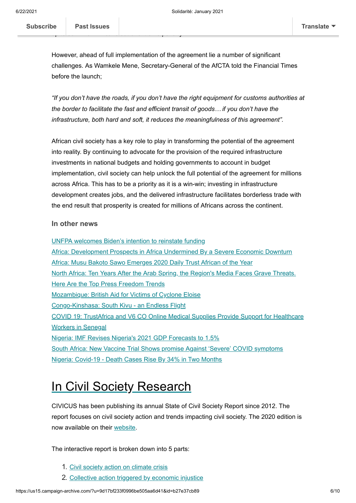However, ahead of full implementation of the agreement lie a number of significant challenges. As Wamkele Mene, Secretary-General of the AfCTA told the Financial Times before the launch;

 $\frac{1}{2}$  , the 30 million Africans out of extreme powerty.

*"If you don't have the roads, if you don't have the right equipment for customs authorities at the border to facilitate the fast and efficient transit of goods… if you don't have the infrastructure, both hard and soft, it reduces the meaningfulness of this agreement".*

African civil society has a key role to play in transforming the potential of the agreement into reality. By continuing to advocate for the provision of the required infrastructure investments in national budgets and holding governments to account in budget implementation, civil society can help unlock the full potential of the agreement for millions across Africa. This has to be a priority as it is a win-win; investing in infrastructure development creates jobs, and the delivered infrastructure facilitates borderless trade with the end result that prosperity is created for millions of Africans across the continent.

#### **In other news**

[UNFPA welcomes Biden's intention to reinstate funding](https://esaro.unfpa.org/en/news/un-sexual-and-reproductive-health-agency-welcomes-usa-intention-reinstate-funding-millions-1) [Africa: Development Prospects in Africa Undermined By a Severe Economic Downturn](https://www.un.org/africarenewal/news/development-prospects-africa-undermined-severe-economic-downturn) [Africa: Musu Bakoto Sawo Emerges 2020 Daily Trust African of the Year](https://allafrica.com/stories/202101170038.html?aa_source=nwsltr-humanrights-en) [North Africa: Ten Years After the Arab Spring, the Region's Media Faces Grave Threats.](https://cpj.org/2021/01/ten-years-after-arab-spring-media-threats-press-freedom-trends/) Here Are the Top Press Freedom Trends [Mozambique: British Aid for Victims of Cyclone Eloise](https://allafrica.com/stories/202101270871.html?aa_source=nwsltr-aid-en) [Congo-Kinshasa: South Kivu - an Endless Flight](https://www.msf.org/south-kivu-democratic-republic-congo-endless-flight) [COVID 19: TrustAfrica and V6 CO Online Medical Supplies Provide Support for Healthcare](http://trustafrica.org/en/resource/news/item/3509-covid-19-trustafrica-and-v6-co-online-medical-supplies-provide-support-for-healthcare-workers-in-senegal) Workers in Senegal [Nigeria: IMF Revises Nigeria's 2021 GDP Forecasts to 1.5%](https://www.thisdaylive.com/index.php/2021/01/27/imf-revises-nigerias-2021-gdp-forecasts-to-1-5/) [South Africa: New Vaccine Trial Shows promise Against 'Severe' COVID symptoms](https://www.dailymaverick.co.za/article/2021-01-29-johnson-johnsons-vaccine-trial-shows-protection-against-covid-19-deaths-and-severe-disease/) [Nigeria: Covid-19 - Death Cases Rise By 34% in Two Months](https://www.thisdaylive.com/index.php/2021/01/31/covid-19-death-cases-rise-by-34-in-two-months/)

### <span id="page-5-0"></span>In Civil Society Research

CIVICUS has been publishing its annual State of Civil Society Report since 2012. The report focuses on civil society action and trends impacting civil society. The 2020 edition is now available on their [website](https://www.civicus.org/index.php/state-of-civil-society-report-2020).

The interactive report is broken down into 5 parts:

- 1. [Civil society action on climate crisis](https://www.civicus.org/documents/reports-and-publications/SOCS/2020/SOCS2020_Climate_en.pdf)
- 2. [Collective action triggered by economic injustice](https://www.civicus.org/documents/reports-and-publications/SOCS/2020/SOCS2020_Protest_en.pdf)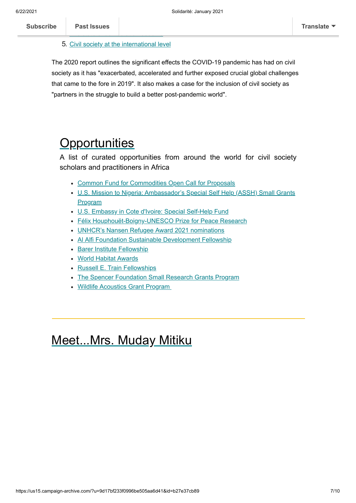#### **Past Issues** 4. [The state of democratic freedoms](https://www.civicus.org/documents/reports-and-publications/SOCS/2020/SOCS2020_Democracy_en.pdf)

5. [Civil society at the international level](https://www.civicus.org/documents/reports-and-publications/SOCS/2020/SOCS2020_International_en.pdf)

The 2020 report outlines the significant effects the COVID-19 pandemic has had on civil society as it has "exacerbated, accelerated and further exposed crucial global challenges that came to the fore in 2019". It also makes a case for the inclusion of civil society as "partners in the struggle to build a better post-pandemic world".

# <span id="page-6-0"></span>**Opportunities**

A list of curated opportunities from around the world for civil society scholars and practitioners in Africa

- [Common Fund for Commodities](http://www.common-fund.org/call-for-proposals/) Open Call for Proposals
- U.S. Mission to Nigeria: [Ambassador's Special Self Help \(ASSH\) Small Grants](https://www.grants.gov/web/grants/view-opportunity.html?oppId=330445) Program
- [U.S. Embassy in Cote d'Ivoire:](https://ci.usembassy.gov/embassy/embassy/funding-opportunities/special-self-help-fund/) Special Self-Help Fund
- [Félix Houphouët-Boigny-UNESCO Prize for Peace Research](https://en.unesco.org/news/call-nominations-felix-houphouet-boigny-unesco-2021-peace-prize)
- [UNHCR's Nansen Refugee Award 2021 nominations](https://www.unhcr.org/nominate.html)
- [Al Alfi Foundation Sustainable Development Fellowship](https://www.aucegypt.edu/admissions/fellowships/listings/al-alfi-foundation-sustainable-development)
- [Barer Institute Fellowship](https://www.law.uw.edu/academics/programs/barer-institute/apply)
- [World Habitat Awards](https://world-habitat.org/world-habitat-awards/how-to-enter/enter-online/)
- [Russell E. Train Fellowships](https://www.worldwildlife.org/projects/russell-e-train-fellowships)
- [The Spencer Foundation Small Research Grants Program](https://www.spencer.org/grant_types/small-research-grant)
- [Wildlife Acoustics Grant Program](https://www.wildlifeacoustics.com/grant-program)

# <span id="page-6-1"></span>Meet...Mrs. Muday Mitiku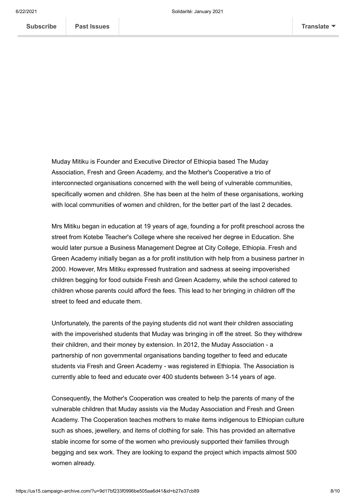Muday Mitiku is Founder and Executive Director of Ethiopia based The Muday Association, Fresh and Green Academy, and the Mother's Cooperative a trio of interconnected organisations concerned with the well being of vulnerable communities, specifically women and children. She has been at the helm of these organisations, working with local communities of women and children, for the better part of the last 2 decades.

Mrs Mitiku began in education at 19 years of age, founding a for profit preschool across the street from Kotebe Teacher's College where she received her degree in Education. She would later pursue a Business Management Degree at City College, Ethiopia. Fresh and Green Academy initially began as a for profit institution with help from a business partner in 2000. However, Mrs Mitiku expressed frustration and sadness at seeing impoverished children begging for food outside Fresh and Green Academy, while the school catered to children whose parents could afford the fees. This lead to her bringing in children off the street to feed and educate them.

Unfortunately, the parents of the paying students did not want their children associating with the impoverished students that Muday was bringing in off the street. So they withdrew their children, and their money by extension. In 2012, the Muday Association - a partnership of non governmental organisations banding together to feed and educate students via Fresh and Green Academy - was registered in Ethiopia. The Association is currently able to feed and educate over 400 students between 3-14 years of age.

Consequently, the Mother's Cooperation was created to help the parents of many of the vulnerable children that Muday assists via the Muday Association and Fresh and Green Academy. The Cooperation teaches mothers to make items indigenous to Ethiopian culture such as shoes, jewellery, and items of clothing for sale. This has provided an alternative stable income for some of the women who previously supported their families through begging and sex work. They are looking to expand the project which impacts almost 500 women already.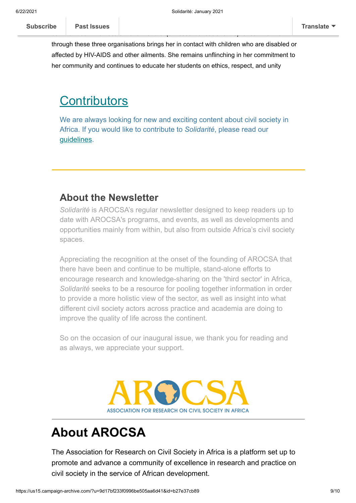through these three organisations brings her in contact with children who are disabled or affected by HIV-AIDS and other ailments. She remains unflinching in her commitment to her community and continues to educate her students on ethics, respect, and unity

 $\log_{10}$  background in business and her zeal for providing assistance to vulnerable  $\log_{10}$ communities in her locale maker her the quintessential social entrepreneur. Her work

### <span id="page-8-0"></span>**Contributors**

We are always looking for new and exciting content about civil society in Africa. If you would like to contribute to *Solidarité*, please read our [guidelines.](https://mcusercontent.com/9d17bf233f0996be505aa6d41/files/f6c8991a-6d62-4cb9-8565-a3bdb5846beb/Submissions_Guidance_for_Contributors.01.pdf)

### **About the Newsletter**

*Solidarité* is AROCSA's regular newsletter designed to keep readers up to date with AROCSA's programs, and events, as well as developments and opportunities mainly from within, but also from outside Africa's civil society spaces.

Appreciating the recognition at the onset of the founding of AROCSA that there have been and continue to be multiple, stand-alone efforts to encourage research and knowledge-sharing on the 'third sector' in Africa, *Solidarité* seeks to be a resource for pooling together information in order to provide a more holistic view of the sector, as well as insight into what different civil society actors across practice and academia are doing to improve the quality of life across the continent.

So on the occasion of our inaugural issue, we thank you for reading and as always, we appreciate your support.



## **About AROCSA**

The Association for Research on Civil Society in Africa is a platform set up to promote and advance a community of excellence in research and practice on civil society in the service of African development.